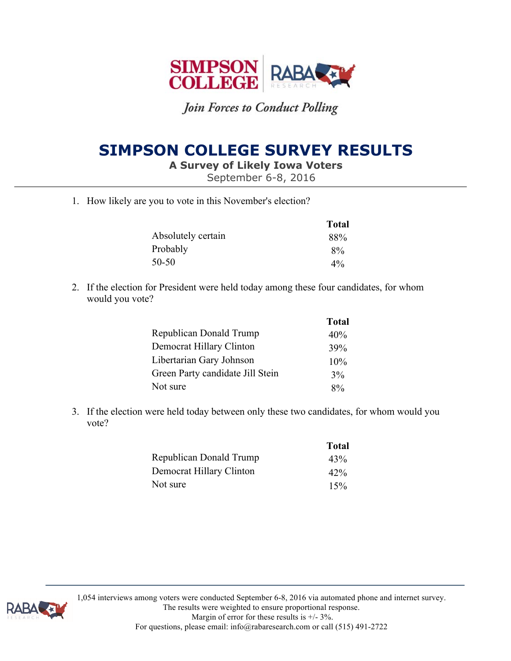

# **SIMPSON COLLEGE SURVEY RESULTS**

**A Survey of Likely Iowa Voters** 

September 6-8, 2016

1. How likely are you to vote in this November's election?

|                    | <b>Total</b> |
|--------------------|--------------|
| Absolutely certain | 88%          |
| Probably           | $8\%$        |
| 50-50              | $4\%$        |

2. If the election for President were held today among these four candidates, for whom would you vote?

|                                  | <b>Total</b> |
|----------------------------------|--------------|
| <b>Republican Donald Trump</b>   | 40%          |
| Democrat Hillary Clinton         | 39%          |
| Libertarian Gary Johnson         | $10\%$       |
| Green Party candidate Jill Stein | 3%           |
| Not sure                         | 8%           |

3. If the election were held today between only these two candidates, for whom would you vote?

|                          | <b>Total</b> |
|--------------------------|--------------|
| Republican Donald Trump  | 43%          |
| Democrat Hillary Clinton | 42%          |
| Not sure                 | 15%          |



1,054 interviews among voters were conducted September 6-8, 2016 via automated phone and internet survey.

The results were weighted to ensure proportional response.

Margin of error for these results is  $+/- 3\%$ . For questions, please email: info@rabaresearch.com or call (515) 491-2722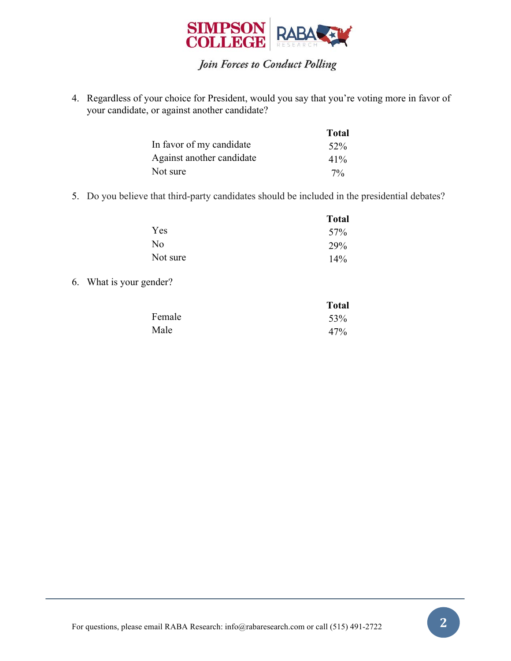

4. Regardless of your choice for President, would you say that you're voting more in favor of your candidate, or against another candidate?

|                           | <b>Total</b> |
|---------------------------|--------------|
| In favor of my candidate  | $52\%$       |
| Against another candidate | $41\%$       |
| Not sure                  | $7\%$        |

5. Do you believe that third-party candidates should be included in the presidential debates?

|                | <b>Total</b> |
|----------------|--------------|
| Yes            | 57%          |
| N <sub>0</sub> | 29%          |
| Not sure       | 14%          |

6. What is your gender?

|        | <b>Total</b> |
|--------|--------------|
| Female | 53%          |
| Male   | 47%          |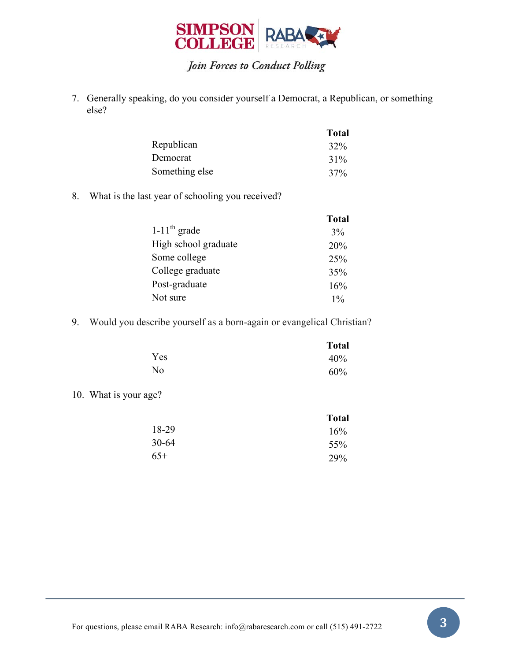

7. Generally speaking, do you consider yourself a Democrat, a Republican, or something else?

|                | <b>Total</b> |
|----------------|--------------|
| Republican     | 32%          |
| Democrat       | $31\%$       |
| Something else | 37%          |

8. What is the last year of schooling you received?

|                            | <b>Total</b> |
|----------------------------|--------------|
| $1-11$ <sup>th</sup> grade | 3%           |
| High school graduate       | 20%          |
| Some college               | 25%          |
| College graduate           | 35%          |
| Post-graduate              | 16%          |
| Not sure                   | $1\%$        |

9. Would you describe yourself as a born-again or evangelical Christian?

|     | <b>Total</b> |
|-----|--------------|
| Yes | 40%          |
| No  | 60%          |

10. What is your age?

|       | <b>Total</b> |
|-------|--------------|
| 18-29 | 16%          |
| 30-64 | 55%          |
| $65+$ | 29%          |